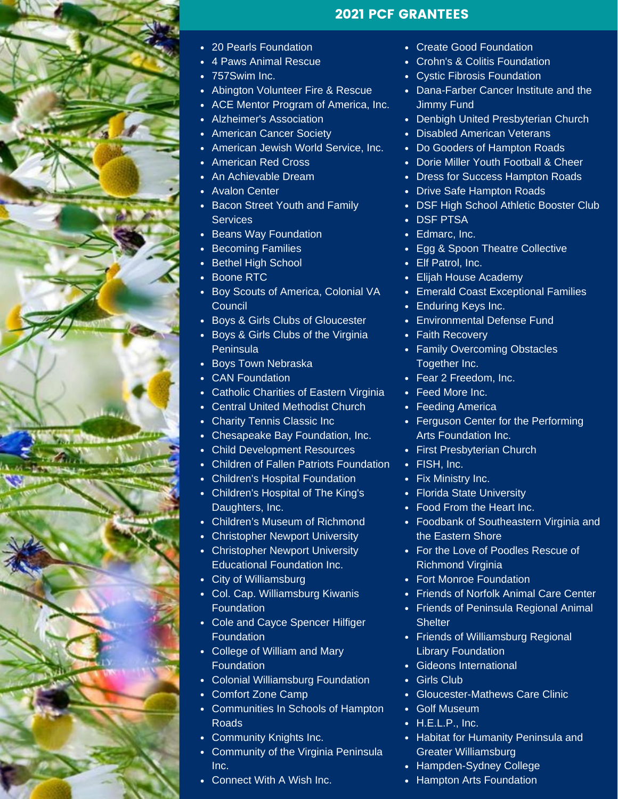

## 2021 PCF GRANTEES

- 20 Pearls Foundation
- 4 Paws Animal Rescue
- 757Swim Inc.
- Abington Volunteer Fire & Rescue
- ACE Mentor Program of America, Inc.
- Alzheimer's Association
- American Cancer Society
- American Jewish World Service, Inc.
- American Red Cross
- An Achievable Dream
- Avalon Center
- Bacon Street Youth and Family **Services**
- Beans Way Foundation
- Becoming Families
- Bethel High School
- Boone RTC
- Boy Scouts of America, Colonial VA **Council**
- Boys & Girls Clubs of Gloucester
- Boys & Girls Clubs of the Virginia Peninsula
- Boys Town Nebraska
- CAN Foundation
- Catholic Charities of Eastern Virginia
- Central United Methodist Church
- Charity Tennis Classic Inc
- Chesapeake Bay Foundation, Inc.
- Child Development Resources
- Children of Fallen Patriots Foundation
- Children's Hospital Foundation
- Children's Hospital of The King's Daughters, Inc.
- Children's Museum of Richmond
- Christopher Newport University
- Christopher Newport University Educational Foundation Inc.
- City of Williamsburg
- Col. Cap. Williamsburg Kiwanis **Foundation**
- Cole and Cayce Spencer Hilfiger Foundation
- College of William and Mary Foundation
- Colonial Williamsburg Foundation
- Comfort Zone Camp
- Communities In Schools of Hampton Roads
- Community Knights Inc.
- Community of the Virginia Peninsula Inc.
- Connect With A Wish Inc.
- Create Good Foundation
- Crohn's & Colitis Foundation
- Cystic Fibrosis Foundation
- Dana-Farber Cancer Institute and the Jimmy Fund
- Denbigh United Presbyterian Church
- Disabled American Veterans
- Do Gooders of Hampton Roads
- Dorie Miller Youth Football & Cheer
- Dress for Success Hampton Roads
- Drive Safe Hampton Roads
- DSF High School Athletic Booster Club
- DSF PTSA
- Edmarc, Inc.
- Egg & Spoon Theatre Collective
- Elf Patrol, Inc.
- Elijah House Academy  $\bullet$
- Emerald Coast Exceptional Families
- Enduring Keys Inc.
- Environmental Defense Fund
- Faith Recovery
- Family Overcoming Obstacles Together Inc.
- Fear 2 Freedom, Inc.
- Feed More Inc.
- Feeding America
- Ferguson Center for the Performing Arts Foundation Inc.
- First Presbyterian Church
- FISH, Inc.
- Fix Ministry Inc.
- Florida State University
- Food From the Heart Inc.
- Foodbank of Southeastern Virginia and the Eastern Shore
- For the Love of Poodles Rescue of Richmond Virginia
- Fort Monroe Foundation
- Friends of Norfolk Animal Care Center
- Friends of Peninsula Regional Animal **Shelter**
- Friends of Williamsburg Regional Library Foundation
- Gideons International
- Girls Club
- Gloucester-Mathews Care Clinic
- Golf Museum
- H.E.L.P., Inc.
- Habitat for Humanity Peninsula and Greater Williamsburg
- Hampden-Sydney College
- Hampton Arts Foundation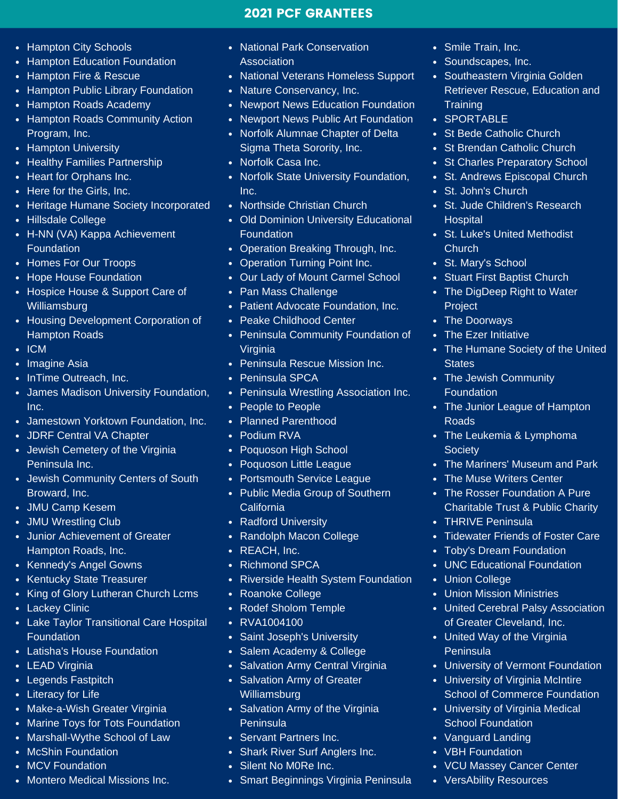## 2021 PCF GRANTEES

- Hampton City Schools
- Hampton Education Foundation
- Hampton Fire & Rescue
- Hampton Public Library Foundation
- Hampton Roads Academy
- Hampton Roads Community Action Program, Inc.
- Hampton University
- Healthy Families Partnership
- Heart for Orphans Inc.
- Here for the Girls, Inc.
- Heritage Humane Society Incorporated
- Hillsdale College
- H-NN (VA) Kappa Achievement Foundation
- Homes For Our Troops
- Hope House Foundation
- Hospice House & Support Care of Williamsburg
- Housing Development Corporation of Hampton Roads
- $\cdot$  ICM
- Imagine Asia
- InTime Outreach, Inc.
- James Madison University Foundation, Inc.
- Jamestown Yorktown Foundation, Inc.
- JDRF Central VA Chapter
- Jewish Cemetery of the Virginia Peninsula Inc.
- Jewish Community Centers of South Broward, Inc.
- JMU Camp Kesem
- JMU Wrestling Club
- Junior Achievement of Greater Hampton Roads, Inc.
- Kennedy's Angel Gowns
- Kentucky State Treasurer
- King of Glory Lutheran Church Lcms
- Lackey Clinic
- Lake Taylor Transitional Care Hospital **Foundation**
- Latisha's House Foundation
- LEAD Virginia
- Legends Fastpitch
- Literacy for Life
- Make-a-Wish Greater Virginia
- Marine Toys for Tots Foundation
- Marshall-Wythe School of Law
- McShin Foundation
- MCV Foundation
- Montero Medical Missions Inc.
- National Park Conservation Association
- National Veterans Homeless Support
- Nature Conservancy, Inc.
- Newport News Education Foundation
- Newport News Public Art Foundation
- Norfolk Alumnae Chapter of Delta Sigma Theta Sorority, Inc.
- Norfolk Casa Inc.
- Norfolk State University Foundation, Inc.
- Northside Christian Church
- Old Dominion University Educational Foundation
- Operation Breaking Through, Inc.
- Operation Turning Point Inc.
- Our Lady of Mount Carmel School  $\bullet$
- Pan Mass Challenge
- Patient Advocate Foundation, Inc.
- Peake Childhood Center
- Peninsula Community Foundation of Virginia
- Peninsula Rescue Mission Inc.
- Peninsula SPCA
- Peninsula Wrestling Association Inc.
- People to People
- Planned Parenthood
- Podium RVA
- Poquoson High School
- Poquoson Little League
- Portsmouth Service League
- Public Media Group of Southern California
- Radford University
- Randolph Macon College
- REACH, Inc.
- Richmond SPCA  $\bullet$
- Riverside Health System Foundation
- Roanoke College
- Rodef Sholom Temple
- RVA1004100
- Saint Joseph's University
- Salem Academy & College
- Salvation Army Central Virginia
- Salvation Army of Greater **Williamsburg**
- Salvation Army of the Virginia Peninsula
- Servant Partners Inc.
- Shark River Surf Anglers Inc.
- Silent No M0Re Inc.
- Smart Beginnings Virginia Peninsula
- Smile Train, Inc.
- Soundscapes, Inc.
- Southeastern Virginia Golden Retriever Rescue, Education and **Training**
- SPORTABLE
- St Bede Catholic Church
- St Brendan Catholic Church
- St Charles Preparatory School
- St. Andrews Episcopal Church
- St. John's Church
- St. Jude Children's Research **Hospital**
- St. Luke's United Methodist Church

• Stuart First Baptist Church • The DigDeep Right to Water

The Jewish Community

• The Humane Society of the United

• The Junior League of Hampton

• The Mariners' Museum and Park

• Tidewater Friends of Foster Care

United Cerebral Palsy Association of Greater Cleveland, Inc. United Way of the Virginia

University of Vermont Foundation University of Virginia McIntire

School of Commerce Foundation

University of Virginia Medical

VCU Massey Cancer Center

School Foundation Vanguard Landing • VBH Foundation

VersAbility Resources

• The Leukemia & Lymphoma

• The Muse Writers Center • The Rosser Foundation A Pure Charitable Trust & Public Charity

• Toby's Dream Foundation • UNC Educational Foundation

Union Mission Ministries

• THRIVE Peninsula

Union College

**Peninsula** 

St. Mary's School

Project • The Doorways • The Ezer Initiative

**States** 

Roads

**Society** 

Foundation